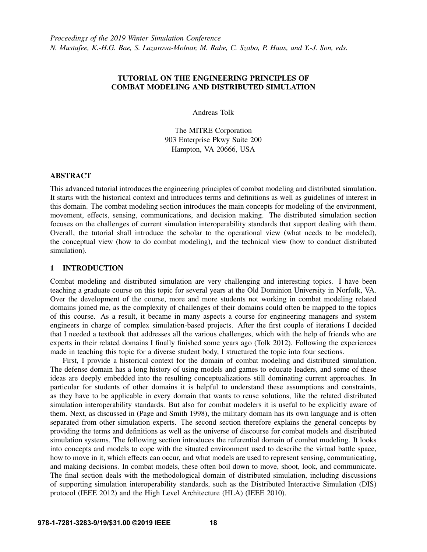# TUTORIAL ON THE ENGINEERING PRINCIPLES OF COMBAT MODELING AND DISTRIBUTED SIMULATION

Andreas Tolk

The MITRE Corporation 903 Enterprise Pkwy Suite 200 Hampton, VA 20666, USA

## ABSTRACT

This advanced tutorial introduces the engineering principles of combat modeling and distributed simulation. It starts with the historical context and introduces terms and definitions as well as guidelines of interest in this domain. The combat modeling section introduces the main concepts for modeling of the environment, movement, effects, sensing, communications, and decision making. The distributed simulation section focuses on the challenges of current simulation interoperability standards that support dealing with them. Overall, the tutorial shall introduce the scholar to the operational view (what needs to be modeled), the conceptual view (how to do combat modeling), and the technical view (how to conduct distributed simulation).

# 1 INTRODUCTION

Combat modeling and distributed simulation are very challenging and interesting topics. I have been teaching a graduate course on this topic for several years at the Old Dominion University in Norfolk, VA. Over the development of the course, more and more students not working in combat modeling related domains joined me, as the complexity of challenges of their domains could often be mapped to the topics of this course. As a result, it became in many aspects a course for engineering managers and system engineers in charge of complex simulation-based projects. After the first couple of iterations I decided that I needed a textbook that addresses all the various challenges, which with the help of friends who are experts in their related domains I finally finished some years ago [\(Tolk 2012\)](#page-14-0). Following the experiences made in teaching this topic for a diverse student body, I structured the topic into four sections.

First, I provide a historical context for the domain of combat modeling and distributed simulation. The defense domain has a long history of using models and games to educate leaders, and some of these ideas are deeply embedded into the resulting conceptualizations still dominating current approaches. In particular for students of other domains it is helpful to understand these assumptions and constraints, as they have to be applicable in every domain that wants to reuse solutions, like the related distributed simulation interoperability standards. But also for combat modelers it is useful to be explicitly aware of them. Next, as discussed in [\(Page and Smith 1998\)](#page-14-1), the military domain has its own language and is often separated from other simulation experts. The second section therefore explains the general concepts by providing the terms and definitions as well as the universe of discourse for combat models and distributed simulation systems. The following section introduces the referential domain of combat modeling. It looks into concepts and models to cope with the situated environment used to describe the virtual battle space, how to move in it, which effects can occur, and what models are used to represent sensing, communicating, and making decisions. In combat models, these often boil down to move, shoot, look, and communicate. The final section deals with the methodological domain of distributed simulation, including discussions of supporting simulation interoperability standards, such as the Distributed Interactive Simulation (DIS) protocol [\(IEEE 2012\)](#page-14-2) and the High Level Architecture (HLA) [\(IEEE 2010\)](#page-14-3).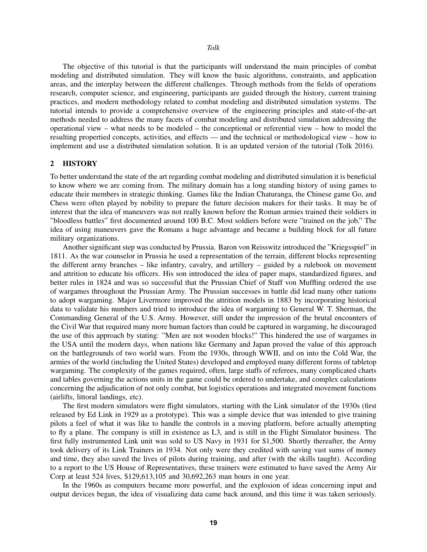The objective of this tutorial is that the participants will understand the main principles of combat modeling and distributed simulation. They will know the basic algorithms, constraints, and application areas, and the interplay between the different challenges. Through methods from the fields of operations research, computer science, and engineering, participants are guided through the history, current training practices, and modern methodology related to combat modeling and distributed simulation systems. The tutorial intends to provide a comprehensive overview of the engineering principles and state-of-the-art methods needed to address the many facets of combat modeling and distributed simulation addressing the operational view – what needs to be modeled – the conceptional or referential view – how to model the resulting propertied concepts, activities, and effects — and the technical or methodological view – how to implement and use a distributed simulation solution. It is an updated version of the tutorial [\(Tolk 2016\)](#page-14-4).

#### 2 HISTORY

To better understand the state of the art regarding combat modeling and distributed simulation it is beneficial to know where we are coming from. The military domain has a long standing history of using games to educate their members in strategic thinking. Games like the Indian Chaturanga, the Chinese game Go, and Chess were often played by nobility to prepare the future decision makers for their tasks. It may be of interest that the idea of maneuvers was not really known before the Roman armies trained their soldiers in "bloodless battles" first documented around 100 B.C. Most soldiers before were "trained on the job." The idea of using maneuvers gave the Romans a huge advantage and became a building block for all future military organizations.

Another significant step was conducted by Prussia. Baron von Reisswitz introduced the "Kriegsspiel" in 1811. As the war counselor in Prussia he used a representation of the terrain, different blocks representing the different army branches – like infantry, cavalry, and artillery – guided by a rulebook on movement and attrition to educate his officers. His son introduced the idea of paper maps, standardized figures, and better rules in 1824 and was so successful that the Prussian Chief of Staff von Muffling ordered the use of wargames throughout the Prussian Army. The Prussian successes in battle did lead many other nations to adopt wargaming. Major Livermore improved the attrition models in 1883 by incorporating historical data to validate his numbers and tried to introduce the idea of wargaming to General W. T. Sherman, the Commanding General of the U.S. Army. However, still under the impression of the brutal encounters of the Civil War that required many more human factors than could be captured in wargaming, he discouraged the use of this approach by stating: "Men are not wooden blocks!" This hindered the use of wargames in the USA until the modern days, when nations like Germany and Japan proved the value of this approach on the battlegrounds of two world wars. From the 1930s, through WWII, and on into the Cold War, the armies of the world (including the United States) developed and employed many different forms of tabletop wargaming. The complexity of the games required, often, large staffs of referees, many complicated charts and tables governing the actions units in the game could be ordered to undertake, and complex calculations concerning the adjudication of not only combat, but logistics operations and integrated movement functions (airlifts, littoral landings, etc).

The first modern simulators were flight simulators, starting with the Link simulator of the 1930s (first released by Ed Link in 1929 as a prototype). This was a simple device that was intended to give training pilots a feel of what it was like to handle the controls in a moving platform, before actually attempting to fly a plane. The company is still in existence as L3, and is still in the Flight Simulator business. The first fully instrumented Link unit was sold to US Navy in 1931 for \$1,500. Shortly thereafter, the Army took delivery of its Link Trainers in 1934. Not only were they credited with saving vast sums of money and time, they also saved the lives of pilots during training, and after (with the skills taught). According to a report to the US House of Representatives, these trainers were estimated to have saved the Army Air Corp at least 524 lives, \$129,613,105 and 30,692,263 man hours in one year.

In the 1960s as computers became more powerful, and the explosion of ideas concerning input and output devices began, the idea of visualizing data came back around, and this time it was taken seriously.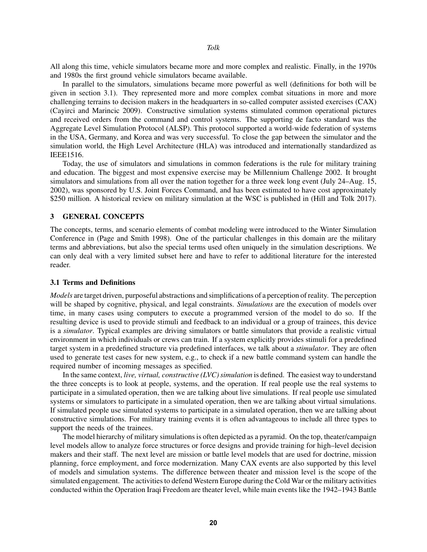All along this time, vehicle simulators became more and more complex and realistic. Finally, in the 1970s and 1980s the first ground vehicle simulators became available.

In parallel to the simulators, simulations became more powerful as well (definitions for both will be given in section 3.1). They represented more and more complex combat situations in more and more challenging terrains to decision makers in the headquarters in so-called computer assisted exercises (CAX) [\(Cayirci and Marincic 2009\)](#page-14-5). Constructive simulation systems stimulated common operational pictures and received orders from the command and control systems. The supporting de facto standard was the Aggregate Level Simulation Protocol (ALSP). This protocol supported a world-wide federation of systems in the USA, Germany, and Korea and was very successful. To close the gap between the simulator and the simulation world, the High Level Architecture (HLA) was introduced and internationally standardized as IEEE1516.

Today, the use of simulators and simulations in common federations is the rule for military training and education. The biggest and most expensive exercise may be Millennium Challenge 2002. It brought simulators and simulations from all over the nation together for a three week long event (July 24–Aug. 15, 2002), was sponsored by U.S. Joint Forces Command, and has been estimated to have cost approximately \$250 million. A historical review on military simulation at the WSC is published in [\(Hill and Tolk 2017\)](#page-14-6).

#### 3 GENERAL CONCEPTS

The concepts, terms, and scenario elements of combat modeling were introduced to the Winter Simulation Conference in [\(Page and Smith 1998\)](#page-14-1). One of the particular challenges in this domain are the military terms and abbreviations, but also the special terms used often uniquely in the simulation descriptions. We can only deal with a very limited subset here and have to refer to additional literature for the interested reader.

#### 3.1 Terms and Definitions

*Models* are target driven, purposeful abstractions and simplifications of a perception of reality. The perception will be shaped by cognitive, physical, and legal constraints. *Simulations* are the execution of models over time, in many cases using computers to execute a programmed version of the model to do so. If the resulting device is used to provide stimuli and feedback to an individual or a group of trainees, this device is a *simulator*. Typical examples are driving simulators or battle simulators that provide a realistic virtual environment in which individuals or crews can train. If a system explicitly provides stimuli for a predefined target system in a predefined structure via predefined interfaces, we talk about a *stimulator*. They are often used to generate test cases for new system, e.g., to check if a new battle command system can handle the required number of incoming messages as specified.

In the same context, *live, virtual, constructive (LVC) simulation* is defined. The easiest way to understand the three concepts is to look at people, systems, and the operation. If real people use the real systems to participate in a simulated operation, then we are talking about live simulations. If real people use simulated systems or simulators to participate in a simulated operation, then we are talking about virtual simulations. If simulated people use simulated systems to participate in a simulated operation, then we are talking about constructive simulations. For military training events it is often advantageous to include all three types to support the needs of the trainees.

The model hierarchy of military simulations is often depicted as a pyramid. On the top, theater/campaign level models allow to analyze force structures or force designs and provide training for high–level decision makers and their staff. The next level are mission or battle level models that are used for doctrine, mission planning, force employment, and force modernization. Many CAX events are also supported by this level of models and simulation systems. The difference between theater and mission level is the scope of the simulated engagement. The activities to defend Western Europe during the Cold War or the military activities conducted within the Operation Iraqi Freedom are theater level, while main events like the 1942–1943 Battle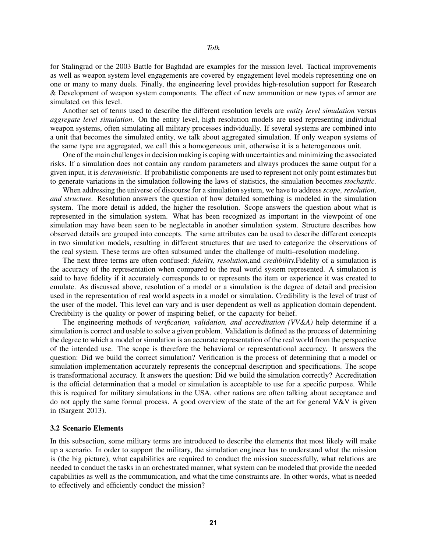for Stalingrad or the 2003 Battle for Baghdad are examples for the mission level. Tactical improvements as well as weapon system level engagements are covered by engagement level models representing one on one or many to many duels. Finally, the engineering level provides high-resolution support for Research & Development of weapon system components. The effect of new ammunition or new types of armor are

Another set of terms used to describe the different resolution levels are *entity level simulation* versus *aggregate level simulation*. On the entity level, high resolution models are used representing individual weapon systems, often simulating all military processes individually. If several systems are combined into a unit that becomes the simulated entity, we talk about aggregated simulation. If only weapon systems of the same type are aggregated, we call this a homogeneous unit, otherwise it is a heterogeneous unit.

One of the main challenges in decision making is coping with uncertainties and minimizing the associated risks. If a simulation does not contain any random parameters and always produces the same output for a given input, it is *deterministic*. If probabilistic components are used to represent not only point estimates but to generate variations in the simulation following the laws of statistics, the simulation becomes *stochastic.*

When addressing the universe of discourse for a simulation system, we have to address*scope, resolution, and structure.* Resolution answers the question of how detailed something is modeled in the simulation system. The more detail is added, the higher the resolution. Scope answers the question about what is represented in the simulation system. What has been recognized as important in the viewpoint of one simulation may have been seen to be neglectable in another simulation system. Structure describes how observed details are grouped into concepts. The same attributes can be used to describe different concepts in two simulation models, resulting in different structures that are used to categorize the observations of the real system. These terms are often subsumed under the challenge of multi–resolution modeling.

The next three terms are often confused: *fidelity, resolution,*and *credibility.*Fidelity of a simulation is the accuracy of the representation when compared to the real world system represented. A simulation is said to have fidelity if it accurately corresponds to or represents the item or experience it was created to emulate. As discussed above, resolution of a model or a simulation is the degree of detail and precision used in the representation of real world aspects in a model or simulation. Credibility is the level of trust of the user of the model. This level can vary and is user dependent as well as application domain dependent. Credibility is the quality or power of inspiring belief, or the capacity for belief.

The engineering methods of *verification, validation, and accreditation (VV&A)* help determine if a simulation is correct and usable to solve a given problem. Validation is defined as the process of determining the degree to which a model or simulation is an accurate representation of the real world from the perspective of the intended use. The scope is therefore the behavioral or representational accuracy. It answers the question: Did we build the correct simulation? Verification is the process of determining that a model or simulation implementation accurately represents the conceptual description and specifications. The scope is transformational accuracy. It answers the question: Did we build the simulation correctly? Accreditation is the official determination that a model or simulation is acceptable to use for a specific purpose. While this is required for military simulations in the USA, other nations are often talking about acceptance and do not apply the same formal process. A good overview of the state of the art for general  $V\&V$  is given in [\(Sargent 2013\)](#page-14-7).

#### 3.2 Scenario Elements

simulated on this level.

In this subsection, some military terms are introduced to describe the elements that most likely will make up a scenario. In order to support the military, the simulation engineer has to understand what the mission is (the big picture), what capabilities are required to conduct the mission successfully, what relations are needed to conduct the tasks in an orchestrated manner, what system can be modeled that provide the needed capabilities as well as the communication, and what the time constraints are. In other words, what is needed to effectively and efficiently conduct the mission?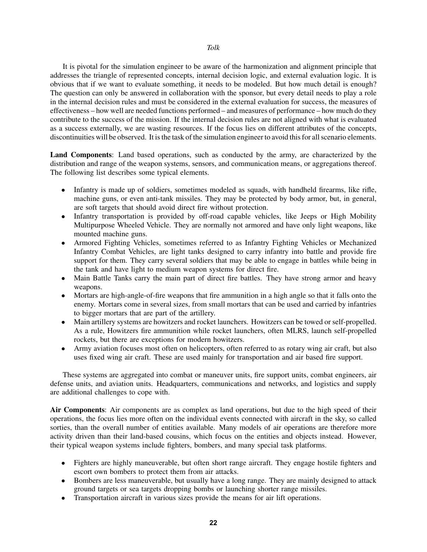It is pivotal for the simulation engineer to be aware of the harmonization and alignment principle that addresses the triangle of represented concepts, internal decision logic, and external evaluation logic. It is obvious that if we want to evaluate something, it needs to be modeled. But how much detail is enough? The question can only be answered in collaboration with the sponsor, but every detail needs to play a role in the internal decision rules and must be considered in the external evaluation for success, the measures of effectiveness – how well are needed functions performed – and measures of performance – how much do they contribute to the success of the mission. If the internal decision rules are not aligned with what is evaluated as a success externally, we are wasting resources. If the focus lies on different attributes of the concepts, discontinuities will be observed. It is the task of the simulation engineer to avoid this for all scenario elements.

Land Components: Land based operations, such as conducted by the army, are characterized by the distribution and range of the weapon systems, sensors, and communication means, or aggregations thereof. The following list describes some typical elements.

- Infantry is made up of soldiers, sometimes modeled as squads, with handheld firearms, like rifle, machine guns, or even anti-tank missiles. They may be protected by body armor, but, in general, are soft targets that should avoid direct fire without protection.
- Infantry transportation is provided by off-road capable vehicles, like Jeeps or High Mobility Multipurpose Wheeled Vehicle. They are normally not armored and have only light weapons, like mounted machine guns.
- Armored Fighting Vehicles, sometimes referred to as Infantry Fighting Vehicles or Mechanized Infantry Combat Vehicles, are light tanks designed to carry infantry into battle and provide fire support for them. They carry several soldiers that may be able to engage in battles while being in the tank and have light to medium weapon systems for direct fire.
- Main Battle Tanks carry the main part of direct fire battles. They have strong armor and heavy weapons.
- Mortars are high-angle-of-fire weapons that fire ammunition in a high angle so that it falls onto the enemy. Mortars come in several sizes, from small mortars that can be used and carried by infantries to bigger mortars that are part of the artillery.
- Main artillery systems are howitzers and rocket launchers. Howitzers can be towed or self-propelled. As a rule, Howitzers fire ammunition while rocket launchers, often MLRS, launch self-propelled rockets, but there are exceptions for modern howitzers.
- Army aviation focuses most often on helicopters, often referred to as rotary wing air craft, but also uses fixed wing air craft. These are used mainly for transportation and air based fire support.

These systems are aggregated into combat or maneuver units, fire support units, combat engineers, air defense units, and aviation units. Headquarters, communications and networks, and logistics and supply are additional challenges to cope with.

Air Components: Air components are as complex as land operations, but due to the high speed of their operations, the focus lies more often on the individual events connected with aircraft in the sky, so called sorties, than the overall number of entities available. Many models of air operations are therefore more activity driven than their land-based cousins, which focus on the entities and objects instead. However, their typical weapon systems include fighters, bombers, and many special task platforms.

- Fighters are highly maneuverable, but often short range aircraft. They engage hostile fighters and escort own bombers to protect them from air attacks.
- Bombers are less maneuverable, but usually have a long range. They are mainly designed to attack ground targets or sea targets dropping bombs or launching shorter range missiles.
- Transportation aircraft in various sizes provide the means for air lift operations.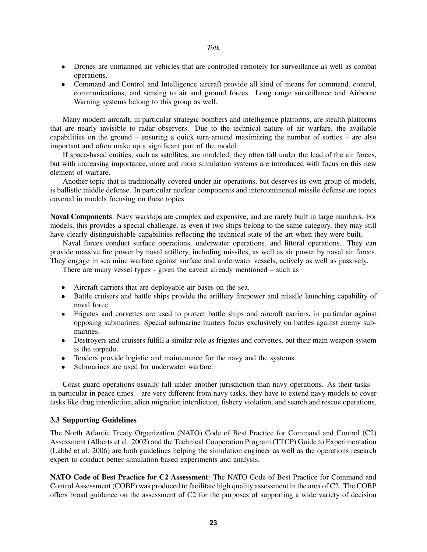- Drones are unmanned air vehicles that are controlled remotely for surveillance as well as combat operations.
- Command and Control and Intelligence aircraft provide all kind of means for command, control, communications, and sensing to air and ground forces. Long range surveillance and Airborne Warning systems belong to this group as well.

Many modern aircraft, in particular strategic bombers and intelligence platforms, are stealth platforms that are nearly invisible to radar observers. Due to the technical nature of air warfare, the available capabilities on the ground – ensuring a quick turn-around maximizing the number of sorties – are also important and often make up a significant part of the model.

If space-based entities, such as satellites, are modeled, they often fall under the lead of the air forces, but with increasing importance, more and more simulation systems are introduced with focus on this new element of warfare.

Another topic that is traditionally covered under air operations, but deserves its own group of models, is ballistic middle defense. In particular nuclear components and intercontinental missile defense are topics covered in models focusing on these topics.

Naval Components: Navy warships are complex and expensive, and are rarely built in large numbers. For models, this provides a special challenge, as even if two ships belong to the same category, they may still have clearly distinguishable capabilities reflecting the technical state of the art when they were built.

Naval forces conduct surface operations, underwater operations, and littoral operations. They can provide massive fire power by naval artillery, including missiles, as well as air power by naval air forces. They engage in sea mine warfare against surface and underwater vessels, actively as well as passively.

There are many vessel types - given the caveat already mentioned – such as

- Aircraft carriers that are deployable air bases on the sea.
- Battle cruisers and battle ships provide the artillery firepower and missile launching capability of naval force.
- Frigates and corvettes are used to protect battle ships and aircraft carriers, in particular against opposing submarines. Special submarine hunters focus exclusively on battles against enemy submarines.
- Destroyers and cruisers fulfill a similar role as frigates and corvettes, but their main weapon system is the torpedo.
- Tenders provide logistic and maintenance for the navy and the systems.
- Submarines are used for underwater warfare.

Coast guard operations usually fall under another jurisdiction than navy operations. As their tasks – in particular in peace times – are very different from navy tasks, they have to extend navy models to cover tasks like drug interdiction, alien migration interdiction, fishery violation, and search and rescue operations.

### 3.3 Supporting Guidelines

The North Atlantic Treaty Organization (NATO) Code of Best Practice for Command and Control (C2) Assessment [\(Alberts et al. 2002\)](#page-14-8) and the Technical Cooperation Program (TTCP) Guide to Experimentation  $(Labbé et al. 2006)$  are both guidelines helping the simulation engineer as well as the operations research expert to conduct better simulation-based experiments and analysis.

NATO Code of Best Practice for C2 Assessment: The NATO Code of Best Practice for Command and Control Assessment (COBP) was produced to facilitate high quality assessment in the area of C2. The COBP offers broad guidance on the assessment of C2 for the purposes of supporting a wide variety of decision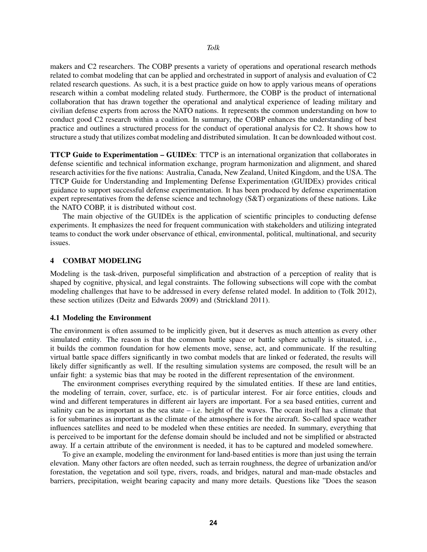makers and C2 researchers. The COBP presents a variety of operations and operational research methods related to combat modeling that can be applied and orchestrated in support of analysis and evaluation of C2 related research questions. As such, it is a best practice guide on how to apply various means of operations research within a combat modeling related study. Furthermore, the COBP is the product of international collaboration that has drawn together the operational and analytical experience of leading military and civilian defense experts from across the NATO nations. It represents the common understanding on how to conduct good C2 research within a coalition. In summary, the COBP enhances the understanding of best practice and outlines a structured process for the conduct of operational analysis for C2. It shows how to structure a study that utilizes combat modeling and distributed simulation. It can be downloaded without cost.

TTCP Guide to Experimentation – GUIDEx: TTCP is an international organization that collaborates in defense scientific and technical information exchange, program harmonization and alignment, and shared research activities for the five nations: Australia, Canada, New Zealand, United Kingdom, and the USA. The TTCP Guide for Understanding and Implementing Defense Experimentation (GUIDEx) provides critical guidance to support successful defense experimentation. It has been produced by defense experimentation expert representatives from the defense science and technology (S&T) organizations of these nations. Like the NATO COBP, it is distributed without cost.

The main objective of the GUIDEx is the application of scientific principles to conducting defense experiments. It emphasizes the need for frequent communication with stakeholders and utilizing integrated teams to conduct the work under observance of ethical, environmental, political, multinational, and security issues.

## 4 COMBAT MODELING

Modeling is the task-driven, purposeful simplification and abstraction of a perception of reality that is shaped by cognitive, physical, and legal constraints. The following subsections will cope with the combat modeling challenges that have to be addressed in every defense related model. In addition to [\(Tolk 2012\)](#page-14-0), these section utilizes [\(Deitz and Edwards 2009\)](#page-14-10) and [\(Strickland 2011\)](#page-14-11).

#### 4.1 Modeling the Environment

The environment is often assumed to be implicitly given, but it deserves as much attention as every other simulated entity. The reason is that the common battle space or battle sphere actually is situated, i.e., it builds the common foundation for how elements move, sense, act, and communicate. If the resulting virtual battle space differs significantly in two combat models that are linked or federated, the results will likely differ significantly as well. If the resulting simulation systems are composed, the result will be an unfair fight: a systemic bias that may be rooted in the different representation of the environment.

The environment comprises everything required by the simulated entities. If these are land entities, the modeling of terrain, cover, surface, etc. is of particular interest. For air force entities, clouds and wind and different temperatures in different air layers are important. For a sea based entities, current and salinity can be as important as the sea state – i.e. height of the waves. The ocean itself has a climate that is for submarines as important as the climate of the atmosphere is for the aircraft. So-called space weather influences satellites and need to be modeled when these entities are needed. In summary, everything that is perceived to be important for the defense domain should be included and not be simplified or abstracted away. If a certain attribute of the environment is needed, it has to be captured and modeled somewhere.

To give an example, modeling the environment for land-based entities is more than just using the terrain elevation. Many other factors are often needed, such as terrain roughness, the degree of urbanization and/or forestation, the vegetation and soil type, rivers, roads, and bridges, natural and man-made obstacles and barriers, precipitation, weight bearing capacity and many more details. Questions like "Does the season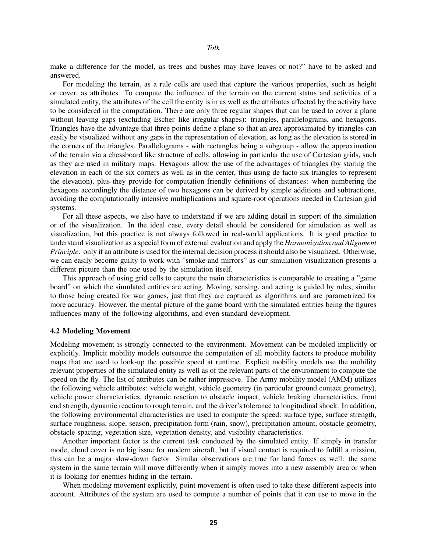make a difference for the model, as trees and bushes may have leaves or not?" have to be asked and answered.

For modeling the terrain, as a rule cells are used that capture the various properties, such as height or cover, as attributes. To compute the influence of the terrain on the current status and activities of a simulated entity, the attributes of the cell the entity is in as well as the attributes affected by the activity have to be considered in the computation. There are only three regular shapes that can be used to cover a plane without leaving gaps (excluding Escher–like irregular shapes): triangles, parallelograms, and hexagons. Triangles have the advantage that three points define a plane so that an area approximated by triangles can easily be visualized without any gaps in the representation of elevation, as long as the elevation is stored in the corners of the triangles. Parallelograms - with rectangles being a subgroup - allow the approximation of the terrain via a chessboard like structure of cells, allowing in particular the use of Cartesian grids, such as they are used in military maps. Hexagons allow the use of the advantages of triangles (by storing the elevation in each of the six corners as well as in the center, thus using de facto six triangles to represent the elevation), plus they provide for computation friendly definitions of distances: when numbering the hexagons accordingly the distance of two hexagons can be derived by simple additions and subtractions, avoiding the computationally intensive multiplications and square-root operations needed in Cartesian grid systems.

For all these aspects, we also have to understand if we are adding detail in support of the simulation or of the visualization. In the ideal case, every detail should be considered for simulation as well as visualization, but this practice is not always followed in real-world applications. It is good practice to understand visualization as a special form of external evaluation and apply the *Harmonization and Alignment Principle:* only if an attribute is used for the internal decision process it should also be visualized. Otherwise, we can easily become guilty to work with "smoke and mirrors" as our simulation visualization presents a different picture than the one used by the simulation itself.

This approach of using grid cells to capture the main characteristics is comparable to creating a "game board" on which the simulated entities are acting. Moving, sensing, and acting is guided by rules, similar to those being created for war games, just that they are captured as algorithms and are parametrized for more accuracy. However, the mental picture of the game board with the simulated entities being the figures influences many of the following algorithms, and even standard development.

#### 4.2 Modeling Movement

Modeling movement is strongly connected to the environment. Movement can be modeled implicitly or explicitly. Implicit mobility models outsource the computation of all mobility factors to produce mobility maps that are used to look-up the possible speed at runtime. Explicit mobility models use the mobility relevant properties of the simulated entity as well as of the relevant parts of the environment to compute the speed on the fly. The list of attributes can be rather impressive. The Army mobility model (AMM) utilizes the following vehicle attributes: vehicle weight, vehicle geometry (in particular ground contact geometry), vehicle power characteristics, dynamic reaction to obstacle impact, vehicle braking characteristics, front end strength, dynamic reaction to rough terrain, and the driver's tolerance to longitudinal shock. In addition, the following environmental characteristics are used to compute the speed: surface type, surface strength, surface roughness, slope, season, precipitation form (rain, snow), precipitation amount, obstacle geometry, obstacle spacing, vegetation size, vegetation density, and visibility characteristics.

Another important factor is the current task conducted by the simulated entity. If simply in transfer mode, cloud cover is no big issue for modern aircraft, but if visual contact is required to fulfill a mission, this can be a major slow-down factor. Similar observations are true for land forces as well: the same system in the same terrain will move differently when it simply moves into a new assembly area or when it is looking for enemies hiding in the terrain.

When modeling movement explicitly, point movement is often used to take these different aspects into account. Attributes of the system are used to compute a number of points that it can use to move in the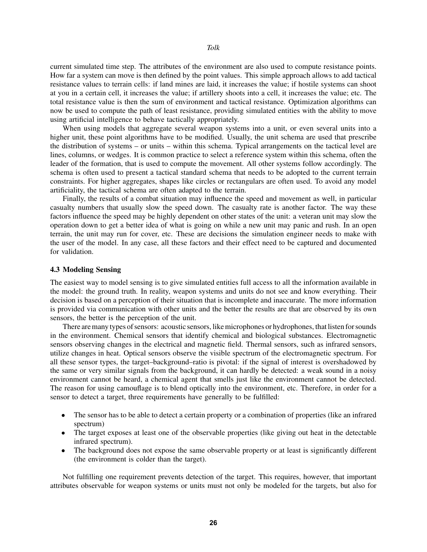current simulated time step. The attributes of the environment are also used to compute resistance points. How far a system can move is then defined by the point values. This simple approach allows to add tactical resistance values to terrain cells: if land mines are laid, it increases the value; if hostile systems can shoot at you in a certain cell, it increases the value; if artillery shoots into a cell, it increases the value; etc. The total resistance value is then the sum of environment and tactical resistance. Optimization algorithms can now be used to compute the path of least resistance, providing simulated entities with the ability to move using artificial intelligence to behave tactically appropriately.

When using models that aggregate several weapon systems into a unit, or even several units into a higher unit, these point algorithms have to be modified. Usually, the unit schema are used that prescribe the distribution of systems – or units – within this schema. Typical arrangements on the tactical level are lines, columns, or wedges. It is common practice to select a reference system within this schema, often the leader of the formation, that is used to compute the movement. All other systems follow accordingly. The schema is often used to present a tactical standard schema that needs to be adopted to the current terrain constraints. For higher aggregates, shapes like circles or rectangulars are often used. To avoid any model artificiality, the tactical schema are often adapted to the terrain.

Finally, the results of a combat situation may influence the speed and movement as well, in particular casualty numbers that usually slow the speed down. The casualty rate is another factor. The way these factors influence the speed may be highly dependent on other states of the unit: a veteran unit may slow the operation down to get a better idea of what is going on while a new unit may panic and rush. In an open terrain, the unit may run for cover, etc. These are decisions the simulation engineer needs to make with the user of the model. In any case, all these factors and their effect need to be captured and documented for validation.

#### 4.3 Modeling Sensing

The easiest way to model sensing is to give simulated entities full access to all the information available in the model: the ground truth. In reality, weapon systems and units do not see and know everything. Their decision is based on a perception of their situation that is incomplete and inaccurate. The more information is provided via communication with other units and the better the results are that are observed by its own sensors, the better is the perception of the unit.

There are many types of sensors: acoustic sensors, like microphones or hydrophones, that listen for sounds in the environment. Chemical sensors that identify chemical and biological substances. Electromagnetic sensors observing changes in the electrical and magnetic field. Thermal sensors, such as infrared sensors, utilize changes in heat. Optical sensors observe the visible spectrum of the electromagnetic spectrum. For all these sensor types, the target–background–ratio is pivotal: if the signal of interest is overshadowed by the same or very similar signals from the background, it can hardly be detected: a weak sound in a noisy environment cannot be heard, a chemical agent that smells just like the environment cannot be detected. The reason for using camouflage is to blend optically into the environment, etc. Therefore, in order for a sensor to detect a target, three requirements have generally to be fulfilled:

- The sensor has to be able to detect a certain property or a combination of properties (like an infrared spectrum)
- The target exposes at least one of the observable properties (like giving out heat in the detectable infrared spectrum).
- The background does not expose the same observable property or at least is significantly different (the environment is colder than the target).

Not fulfilling one requirement prevents detection of the target. This requires, however, that important attributes observable for weapon systems or units must not only be modeled for the targets, but also for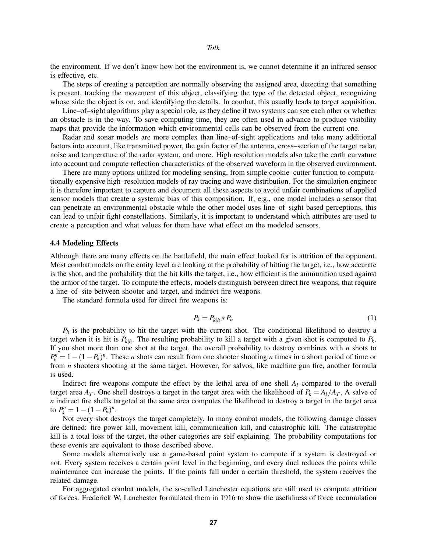the environment. If we don't know how hot the environment is, we cannot determine if an infrared sensor is effective, etc.

The steps of creating a perception are normally observing the assigned area, detecting that something is present, tracking the movement of this object, classifying the type of the detected object, recognizing whose side the object is on, and identifying the details. In combat, this usually leads to target acquisition.

Line–of–sight algorithms play a special role, as they define if two systems can see each other or whether an obstacle is in the way. To save computing time, they are often used in advance to produce visibility maps that provide the information which environmental cells can be observed from the current one.

Radar and sonar models are more complex than line–of-sight applications and take many additional factors into account, like transmitted power, the gain factor of the antenna, cross–section of the target radar, noise and temperature of the radar system, and more. High resolution models also take the earth curvature into account and compute reflection characteristics of the observed waveform in the observed environment.

There are many options utilized for modeling sensing, from simple cookie–cutter function to computationally expensive high–resolution models of ray tracing and wave distribution. For the simulation engineer it is therefore important to capture and document all these aspects to avoid unfair combinations of applied sensor models that create a systemic bias of this composition. If, e.g., one model includes a sensor that can penetrate an environmental obstacle while the other model uses line–of–sight based perceptions, this can lead to unfair fight constellations. Similarly, it is important to understand which attributes are used to create a perception and what values for them have what effect on the modeled sensors.

#### 4.4 Modeling Effects

Although there are many effects on the battlefield, the main effect looked for is attrition of the opponent. Most combat models on the entity level are looking at the probability of hitting the target, i.e., how accurate is the shot, and the probability that the hit kills the target, i.e., how efficient is the ammunition used against the armor of the target. To compute the effects, models distinguish between direct fire weapons, that require a line–of–site between shooter and target, and indirect fire weapons.

The standard formula used for direct fire weapons is:

$$
P_k = P_{k|h} * P_h \tag{1}
$$

 $P_h$  is the probability to hit the target with the current shot. The conditional likelihood to destroy a target when it is hit is  $P_{k|h}$ . The resulting probability to kill a target with a given shot is computed to  $P_k$ . If you shot more than one shot at the target, the overall probability to destroy combines with *n* shots to  $P_k^n = 1 - (1 - P_k)^n$ . These *n* shots can result from one shooter shooting *n* times in a short period of time or from *n* shooters shooting at the same target. However, for salvos, like machine gun fire, another formula is used.

Indirect fire weapons compute the effect by the lethal area of one shell *A<sup>l</sup>* compared to the overall target area  $A_T$ . One shell destroys a target in the target area with the likelihood of  $P_k = A_l/A_T$ , A salve of *n* indirect fire shells targeted at the same area computes the likelihood to destroy a target in the target area to  $P_k^n = 1 - (1 - P_k)^n$ .

Not every shot destroys the target completely. In many combat models, the following damage classes are defined: fire power kill, movement kill, communication kill, and catastrophic kill. The catastrophic kill is a total loss of the target, the other categories are self explaining. The probability computations for these events are equivalent to those described above.

Some models alternatively use a game-based point system to compute if a system is destroyed or not. Every system receives a certain point level in the beginning, and every duel reduces the points while maintenance can increase the points. If the points fall under a certain threshold, the system receives the related damage.

For aggregated combat models, the so-called Lanchester equations are still used to compute attrition of forces. Frederick W, Lanchester formulated them in 1916 to show the usefulness of force accumulation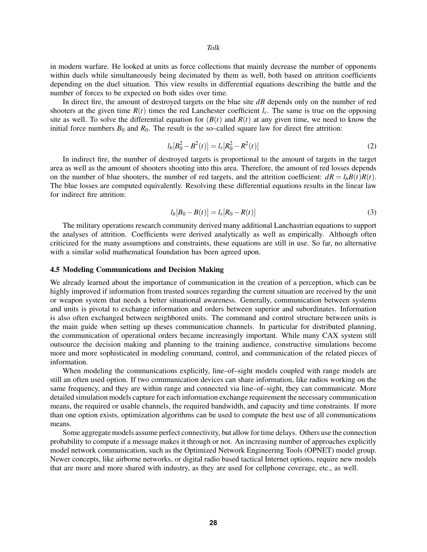in modern warfare. He looked at units as force collections that mainly decrease the number of opponents within duels while simultaneously being decimated by them as well, both based on attrition coefficients depending on the duel situation. This view results in differential equations describing the battle and the number of forces to be expected on both sides over time.

In direct fire, the amount of destroyed targets on the blue site *dB* depends only on the number of red shooters at the given time  $R(t)$  times the red Lanchester coefficient  $l_r$ . The same is true on the opposing site as well. To solve the differential equation for  $(B(t))$  and  $R(t)$  at any given time, we need to know the initial force numbers  $B_0$  and  $R_0$ . The result is the so–called square law for direct fire attrition:

$$
l_b[B_0^2 - B^2(t)] = l_r[R_0^2 - R^2(t)]
$$
\n(2)

In indirect fire, the number of destroyed targets is proportional to the amount of targets in the target area as well as the amount of shooters shooting into this area. Therefore, the amount of red losses depends on the number of blue shooters, the number of red targets, and the attrition coefficient:  $dR = l_b B(t)R(t)$ . The blue losses are computed equivalently. Resolving these differential equations results in the linear law for indirect fire attrition:

$$
l_b[B_0 - B(t)] = l_r[R_0 - R(t)]
$$
\n(3)

The military operations research community derived many additional Lanchastrian equations to support the analyses of attrition. Coefficients were derived analytically as well as empirically. Although often criticized for the many assumptions and constraints, these equations are still in use. So far, no alternative with a similar solid mathematical foundation has been agreed upon.

#### 4.5 Modeling Communications and Decision Making

We already learned about the importance of communication in the creation of a perception, which can be highly improved if information from trusted sources regarding the current situation are received by the unit or weapon system that needs a better situational awareness. Generally, communication between systems and units is pivotal to exchange information and orders between superior and subordinates. Information is also often exchanged between neighbored units. The command and control structure between units is the main guide when setting up theses communication channels. In particular for distributed planning, the communication of operational orders became increasingly important. While many CAX system still outsource the decision making and planning to the training audience, constructive simulations become more and more sophisticated in modeling command, control, and communication of the related pieces of information.

When modeling the communications explicitly, line–of–sight models coupled with range models are still an often used option. If two communication devices can share information, like radios working on the same frequency, and they are within range and connected via line–of–sight, they can communicate. More detailed simulation models capture for each information exchange requirement the necessary communication means, the required or usable channels, the required bandwidth, and capacity and time constraints. If more than one option exists, optimization algorithms can be used to compute the best use of all communications means.

Some aggregate models assume perfect connectivity, but allow for time delays. Others use the connection probability to compute if a message makes it through or not. An increasing number of approaches explicitly model network communication, such as the Optimized Network Engineering Tools (OPNET) model group. Newer concepts, like airborne networks, or digital radio based tactical Internet options, require new models that are more and more shared with industry, as they are used for cellphone coverage, etc., as well.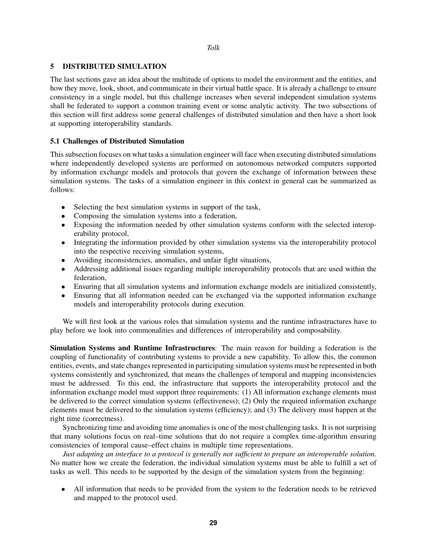## 5 DISTRIBUTED SIMULATION

The last sections gave an idea about the multitude of options to model the environment and the entities, and how they move, look, shoot, and communicate in their virtual battle space. It is already a challenge to ensure consistency in a single model, but this challenge increases when several independent simulation systems shall be federated to support a common training event or some analytic activity. The two subsections of this section will first address some general challenges of distributed simulation and then have a short look at supporting interoperability standards.

# 5.1 Challenges of Distributed Simulation

This subsection focuses on what tasks a simulation engineer will face when executing distributed simulations where independently developed systems are performed on autonomous networked computers supported by information exchange models and protocols that govern the exchange of information between these simulation systems. The tasks of a simulation engineer in this context in general can be summarized as follows:

- Selecting the best simulation systems in support of the task,
- Composing the simulation systems into a federation,
- Exposing the information needed by other simulation systems conform with the selected interoperability protocol,
- Integrating the information provided by other simulation systems via the interoperability protocol into the respective receiving simulation systems,
- Avoiding inconsistencies, anomalies, and unfair fight situations,
- Addressing additional issues regarding multiple interoperability protocols that are used within the federation,
- Ensuring that all simulation systems and information exchange models are initialized consistently,
- Ensuring that all information needed can be exchanged via the supported information exchange models and interoperability protocols during execution.

We will first look at the various roles that simulation systems and the runtime infrastructures have to play before we look into commonalities and differences of interoperability and composability.

Simulation Systems and Runtime Infrastructures: The main reason for building a federation is the coupling of functionality of contributing systems to provide a new capability. To allow this, the common entities, events, and state changes represented in participating simulation systems must be represented in both systems consistently and synchronized, that means the challenges of temporal and mapping inconsistencies must be addressed. To this end, the infrastructure that supports the interoperability protocol and the information exchange model must support three requirements: (1) All information exchange elements must be delivered to the correct simulation systems (effectiveness); (2) Only the required information exchange elements must be delivered to the simulation systems (efficiency); and (3) The delivery must happen at the right time (correctness).

Synchronizing time and avoiding time anomalies is one of the most challenging tasks. It is not surprising that many solutions focus on real–time solutions that do not require a complex time-algorithm ensuring consistencies of temporal cause–effect chains in multiple time representations.

*Just adapting an interface to a protocol is generally not sufficient to prepare an interoperable solution.* No matter how we create the federation, the individual simulation systems must be able to fulfill a set of tasks as well. This needs to be supported by the design of the simulation system from the beginning:

• All information that needs to be provided from the system to the federation needs to be retrieved and mapped to the protocol used.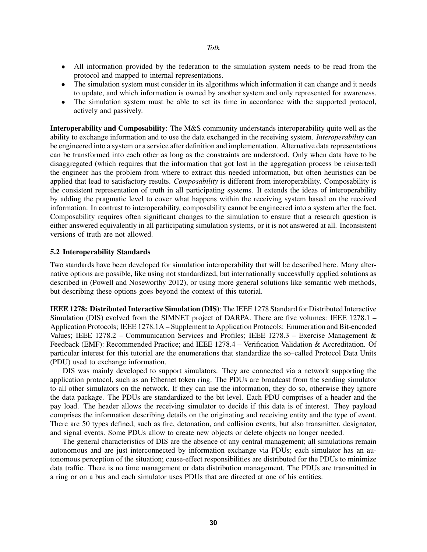*Tolk*

- All information provided by the federation to the simulation system needs to be read from the protocol and mapped to internal representations.
- The simulation system must consider in its algorithms which information it can change and it needs to update, and which information is owned by another system and only represented for awareness.
- The simulation system must be able to set its time in accordance with the supported protocol, actively and passively.

Interoperability and Composability: The M&S community understands interoperability quite well as the ability to exchange information and to use the data exchanged in the receiving system. *Interoperability* can be engineered into a system or a service after definition and implementation. Alternative data representations can be transformed into each other as long as the constraints are understood. Only when data have to be disaggregated (which requires that the information that got lost in the aggregation process be reinserted) the engineer has the problem from where to extract this needed information, but often heuristics can be applied that lead to satisfactory results. *Composability* is different from interoperability. Composability is the consistent representation of truth in all participating systems. It extends the ideas of interoperability by adding the pragmatic level to cover what happens within the receiving system based on the received information. In contrast to interoperability, composability cannot be engineered into a system after the fact. Composability requires often significant changes to the simulation to ensure that a research question is either answered equivalently in all participating simulation systems, or it is not answered at all. Inconsistent versions of truth are not allowed.

### 5.2 Interoperability Standards

Two standards have been developed for simulation interoperability that will be described here. Many alternative options are possible, like using not standardized, but internationally successfully applied solutions as described in [\(Powell and Noseworthy 2012\)](#page-14-12), or using more general solutions like semantic web methods, but describing these options goes beyond the context of this tutorial.

IEEE 1278: Distributed Interactive Simulation (DIS): The IEEE 1278 Standard for Distributed Interactive Simulation (DIS) evolved from the SIMNET project of DARPA. There are five volumes: IEEE 1278.1 – Application Protocols; IEEE 1278.1A – Supplement to Application Protocols: Enumeration and Bit-encoded Values; IEEE 1278.2 – Communication Services and Profiles; IEEE 1278.3 – Exercise Management & Feedback (EMF): Recommended Practice; and IEEE 1278.4 – Verification Validation & Accreditation. Of particular interest for this tutorial are the enumerations that standardize the so–called Protocol Data Units (PDU) used to exchange information.

DIS was mainly developed to support simulators. They are connected via a network supporting the application protocol, such as an Ethernet token ring. The PDUs are broadcast from the sending simulator to all other simulators on the network. If they can use the information, they do so, otherwise they ignore the data package. The PDUs are standardized to the bit level. Each PDU comprises of a header and the pay load. The header allows the receiving simulator to decide if this data is of interest. They payload comprises the information describing details on the originating and receiving entity and the type of event. There are 50 types defined, such as fire, detonation, and collision events, but also transmitter, designator, and signal events. Some PDUs allow to create new objects or delete objects no longer needed.

The general characteristics of DIS are the absence of any central management; all simulations remain autonomous and are just interconnected by information exchange via PDUs; each simulator has an autonomous perception of the situation; cause-effect responsibilities are distributed for the PDUs to minimize data traffic. There is no time management or data distribution management. The PDUs are transmitted in a ring or on a bus and each simulator uses PDUs that are directed at one of his entities.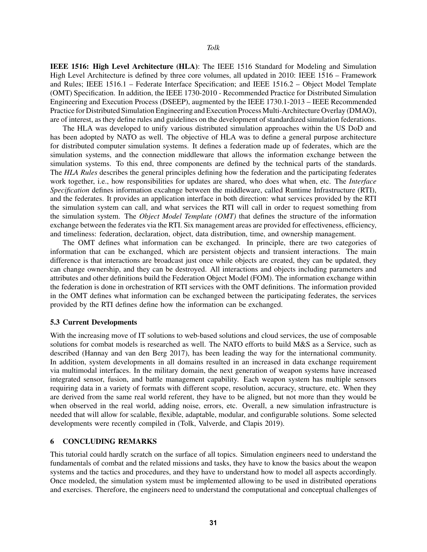IEEE 1516: High Level Architecture (HLA): The IEEE 1516 Standard for Modeling and Simulation High Level Architecture is defined by three core volumes, all updated in 2010: IEEE 1516 – Framework and Rules; IEEE 1516.1 – Federate Interface Specification; and IEEE 1516.2 – Object Model Template (OMT) Specification. In addition, the IEEE 1730-2010 - Recommended Practice for Distributed Simulation Engineering and Execution Process (DSEEP), augmented by the IEEE 1730.1-2013 – IEEE Recommended Practice for Distributed Simulation Engineering and Execution Process Multi-Architecture Overlay (DMAO), are of interest, as they define rules and guidelines on the development of standardized simulation federations.

The HLA was developed to unify various distributed simulation approaches within the US DoD and has been adopted by NATO as well. The objective of HLA was to define a general purpose architecture for distributed computer simulation systems. It defines a federation made up of federates, which are the simulation systems, and the connection middleware that allows the information exchange between the simulation systems. To this end, three components are defined by the technical parts of the standards. The *HLA Rules* describes the general principles defining how the federation and the participating federates work together, i.e., how responsibilities for updates are shared, who does what when, etc. The *Interface Specification* defines information excahnge between the middleware, called Runtime Infrastructure (RTI), and the federates. It provides an application interface in both direction: what services provided by the RTI the simulation system can call, and what services the RTI will call in order to request something from the simulation system. The *Object Model Template (OMT)* that defines the structure of the information exchange between the federates via the RTI. Six management areas are provided for effectiveness, efficiency, and timeliness: federation, declaration, object, data distribution, time, and ownership management.

The OMT defines what information can be exchanged. In principle, there are two categories of information that can be exchanged, which are persistent objects and transient interactions. The main difference is that interactions are broadcast just once while objects are created, they can be updated, they can change ownership, and they can be destroyed. All interactions and objects including parameters and attributes and other definitions build the Federation Object Model (FOM). The information exchange within the federation is done in orchestration of RTI services with the OMT definitions. The information provided in the OMT defines what information can be exchanged between the participating federates, the services provided by the RTI defines define how the information can be exchanged.

### 5.3 Current Developments

With the increasing move of IT solutions to web-based solutions and cloud services, the use of composable solutions for combat models is researched as well. The NATO efforts to build M&S as a Service, such as described [\(Hannay and van den Berg 2017\)](#page-14-13), has been leading the way for the international community. In addition, system developments in all domains resulted in an increased in data exchange requirement via multimodal interfaces. In the military domain, the next generation of weapon systems have increased integrated sensor, fusion, and battle management capability. Each weapon system has multiple sensors requiring data in a variety of formats with different scope, resolution, accuracy, structure, etc. When they are derived from the same real world referent, they have to be aligned, but not more than they would be when observed in the real world, adding noise, errors, etc. Overall, a new simulation infrastructure is needed that will allow for scalable, flexible, adaptable, modular, and configurable solutions. Some selected developments were recently compiled in [\(Tolk, Valverde, and Clapis 2019\)](#page-14-14).

# 6 CONCLUDING REMARKS

This tutorial could hardly scratch on the surface of all topics. Simulation engineers need to understand the fundamentals of combat and the related missions and tasks, they have to know the basics about the weapon systems and the tactics and procedures, and they have to understand how to model all aspects accordingly. Once modeled, the simulation system must be implemented allowing to be used in distributed operations and exercises. Therefore, the engineers need to understand the computational and conceptual challenges of